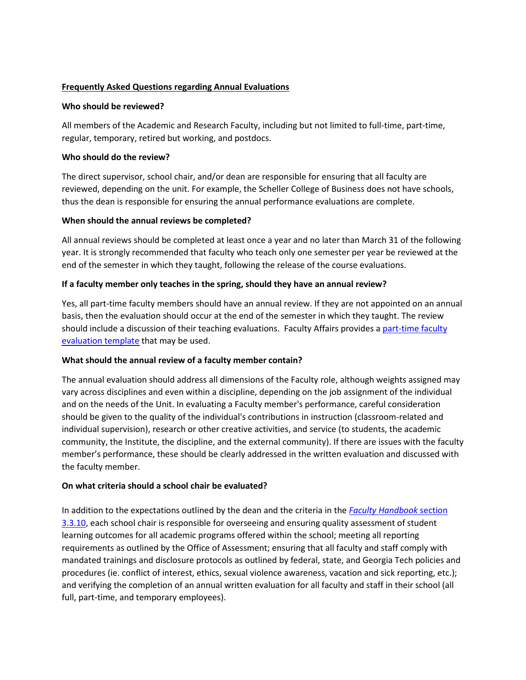# **Frequently Asked Questions regarding Annual Evaluations**

### **Who should be reviewed?**

All members of the Academic and Research Faculty, including but not limited to full-time, part-time, regular, temporary, retired but working, and postdocs.

### **Who should do the review?**

The direct supervisor, school chair, and/or dean are responsible for ensuring that all faculty are reviewed, depending on the unit. For example, the Scheller College of Business does not have schools, thus the dean is responsible for ensuring the annual performance evaluations are complete.

#### **When should the annual reviews be completed?**

All annual reviews should be completed at least once a year and no later than March 31 of the following year. It is strongly recommended that faculty who teach only one semester per year be reviewed at the end of the semester in which they taught, following the release of the course evaluations.

### **If a faculty member only teaches in the spring, should they have an annual review?**

Yes, all part-time faculty members should have an annual review. If they are not appointed on an annual basis, then the evaluation should occur at the end of the semester in which they taught. The review should include a discussion of their teaching evaluations. Faculty Affairs provides [a part-time faculty](http://www.faculty.gatech.edu/deans-chairs/internal-resources)  [evaluation](http://www.faculty.gatech.edu/deans-chairs/internal-resources) template that may be used.

### **What should the annual review of a faculty member contain?**

The annual evaluation should address all dimensions of the Faculty role, although weights assigned may vary across disciplines and even within a discipline, depending on the job assignment of the individual and on the needs of the Unit. In evaluating a Faculty member's performance, careful consideration should be given to the quality of the individual's contributions in instruction (classroom-related and individual supervision), research or other creative activities, and service (to students, the academic community, the Institute, the discipline, and the external community). If there are issues with the faculty member's performance, these should be clearly addressed in the written evaluation and discussed with the faculty member.

## **On what criteria should a school chair be evaluated?**

In addition to the expectations outlined by the dean and the criteria in the *[Faculty Handbook](http://policylibrary.gatech.edu/faculty-handbook/3.3.10-process-5-year-comprehensive-review-and-evaluation-school-chairs)* section [3.3.10,](http://policylibrary.gatech.edu/faculty-handbook/3.3.10-process-5-year-comprehensive-review-and-evaluation-school-chairs) each school chair is responsible for overseeing and ensuring quality assessment of student learning outcomes for all academic programs offered within the school; meeting all reporting requirements as outlined by the Office of Assessment; ensuring that all faculty and staff comply with mandated trainings and disclosure protocols as outlined by federal, state, and Georgia Tech policies and procedures (ie. conflict of interest, ethics, sexual violence awareness, vacation and sick reporting, etc.); and verifying the completion of an annual written evaluation for all faculty and staff in their school (all full, part-time, and temporary employees).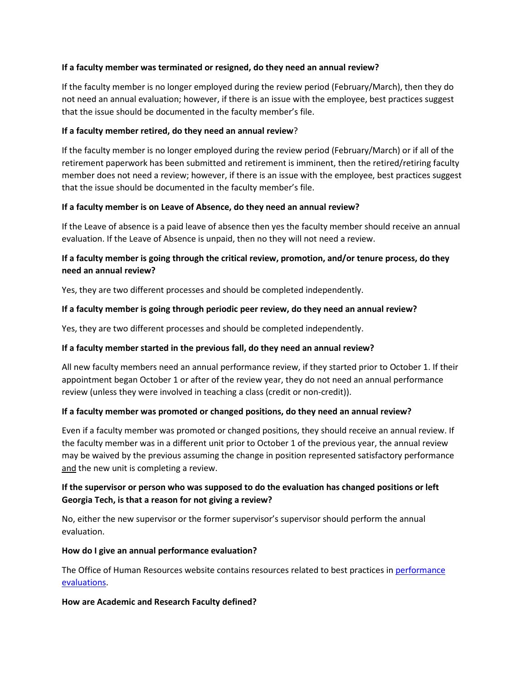## **If a faculty member was terminated or resigned, do they need an annual review?**

If the faculty member is no longer employed during the review period (February/March), then they do not need an annual evaluation; however, if there is an issue with the employee, best practices suggest that the issue should be documented in the faculty member's file.

## **If a faculty member retired, do they need an annual review**?

If the faculty member is no longer employed during the review period (February/March) or if all of the retirement paperwork has been submitted and retirement is imminent, then the retired/retiring faculty member does not need a review; however, if there is an issue with the employee, best practices suggest that the issue should be documented in the faculty member's file.

# **If a faculty member is on Leave of Absence, do they need an annual review?**

If the Leave of absence is a paid leave of absence then yes the faculty member should receive an annual evaluation. If the Leave of Absence is unpaid, then no they will not need a review.

# **If a faculty member is going through the critical review, promotion, and/or tenure process, do they need an annual review?**

Yes, they are two different processes and should be completed independently.

# **If a faculty member is going through periodic peer review, do they need an annual review?**

Yes, they are two different processes and should be completed independently.

# **If a faculty member started in the previous fall, do they need an annual review?**

All new faculty members need an annual performance review, if they started prior to October 1. If their appointment began October 1 or after of the review year, they do not need an annual performance review (unless they were involved in teaching a class (credit or non-credit)).

## **If a faculty member was promoted or changed positions, do they need an annual review?**

Even if a faculty member was promoted or changed positions, they should receive an annual review. If the faculty member was in a different unit prior to October 1 of the previous year, the annual review may be waived by the previous assuming the change in position represented satisfactory performance and the new unit is completing a review.

# **If the supervisor or person who was supposed to do the evaluation has changed positions or left Georgia Tech, is that a reason for not giving a review?**

No, either the new supervisor or the former supervisor's supervisor should perform the annual evaluation.

### **How do I give an annual performance evaluation?**

The Office of Human Resources website contains resources related to best practices in performance [evaluations.](http://www.ohr.gatech.edu/performance/faqs)

### **How are Academic and Research Faculty defined?**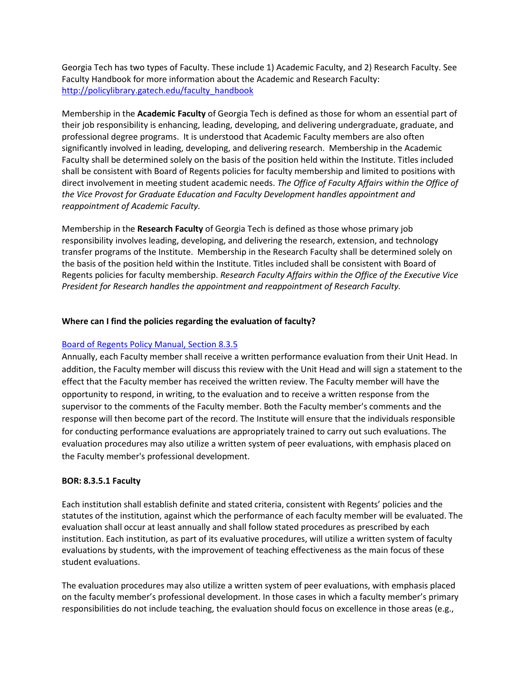Georgia Tech has two types of Faculty. These include 1) Academic Faculty, and 2) Research Faculty. See Faculty Handbook for more information about the Academic and Research Faculty: [http://policylibrary.gatech.edu/faculty\\_handbook](http://policylibrary.gatech.edu/faculty_handbook)

Membership in the **Academic Faculty** of Georgia Tech is defined as those for whom an essential part of their job responsibility is enhancing, leading, developing, and delivering undergraduate, graduate, and professional degree programs. It is understood that Academic Faculty members are also often significantly involved in leading, developing, and delivering research. Membership in the Academic Faculty shall be determined solely on the basis of the position held within the Institute. Titles included shall be consistent with Board of Regents policies for faculty membership and limited to positions with direct involvement in meeting student academic needs. *The Office of Faculty Affairs within the Office of the Vice Provost for Graduate Education and Faculty Development handles appointment and reappointment of Academic Faculty.*

Membership in the **Research Faculty** of Georgia Tech is defined as those whose primary job responsibility involves leading, developing, and delivering the research, extension, and technology transfer programs of the Institute. Membership in the Research Faculty shall be determined solely on the basis of the position held within the Institute. Titles included shall be consistent with Board of Regents policies for faculty membership. *Research Faculty Affairs within the Office of the Executive Vice President for Research handles the appointment and reappointment of Research Faculty.*

# **Where can I find the policies regarding the evaluation of faculty?**

### [Board of Regents Policy Manual, Section 8.3.5](http://www.usg.edu/policymanual/section8/policy/C245/#p8.3.5_evaluation_of_personnel)

Annually, each Faculty member shall receive a written performance evaluation from their Unit Head. In addition, the Faculty member will discuss this review with the Unit Head and will sign a statement to the effect that the Faculty member has received the written review. The Faculty member will have the opportunity to respond, in writing, to the evaluation and to receive a written response from the supervisor to the comments of the Faculty member. Both the Faculty member's comments and the response will then become part of the record. The Institute will ensure that the individuals responsible for conducting performance evaluations are appropriately trained to carry out such evaluations. The evaluation procedures may also utilize a written system of peer evaluations, with emphasis placed on the Faculty member's professional development.

### **BOR: 8.3.5.1 Faculty**

Each institution shall establish definite and stated criteria, consistent with Regents' policies and the statutes of the institution, against which the performance of each faculty member will be evaluated. The evaluation shall occur at least annually and shall follow stated procedures as prescribed by each institution. Each institution, as part of its evaluative procedures, will utilize a written system of faculty evaluations by students, with the improvement of teaching effectiveness as the main focus of these student evaluations.

The evaluation procedures may also utilize a written system of peer evaluations, with emphasis placed on the faculty member's professional development. In those cases in which a faculty member's primary responsibilities do not include teaching, the evaluation should focus on excellence in those areas (e.g.,